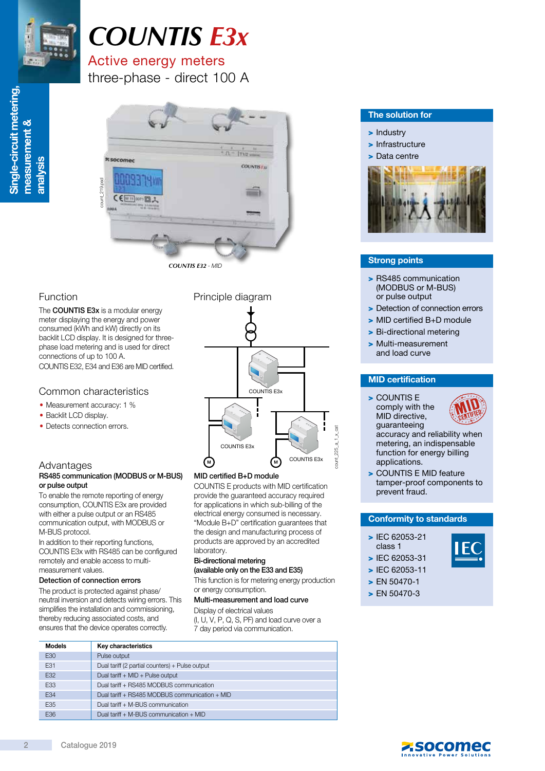

Single-circuit metering,

Single-circuit metering,

measurement &

measurement &

analysis

# *COUNTIS E3x*

## Active energy meters

three-phase - direct 100 A



The **COUNTIS E3x** is a modular energy meter displaying the energy and power consumed (kWh and kW) directly on its backlit LCD display. It is designed for threephase load metering and is used for direct connections of up to 100 A. COUNTIS E32, E34 and E36 are MID certified.

#### Common characteristics

- Measurement accuracy: 1 %
- Backlit LCD display.
- Detects connection errors.

#### Advantages

#### RS485 communication (MODBUS or M-BUS) or pulse output

To enable the remote reporting of energy consumption, COUNTIS E3x are provided with either a pulse output or an RS485 communication output, with MODBUS or M-BUS protocol.

In addition to their reporting functions, COUNTIS E3x with RS485 can be configured remotely and enable access to multimeasurement values.

#### Detection of connection errors

The product is protected against phase/ neutral inversion and detects wiring errors. This simplifies the installation and commissioning, thereby reducing associated costs, and ensur

#### Function **Principle diagram**



#### MID certified B+D module

COUNTIS E products with MID certification provide the guaranteed accuracy required for applications in which sub-billing of the electrical energy consumed is necessary. "Module B+D" certification guarantees that the design and manufacturing process of products are approved by an accredited laboratory.

#### Bi-directional metering (available only on the E33 and E35)

This function is for metering energy production or energy consumption.

#### Multi-measurement and load curve

Display of electrical values (I, U, V, P, Q, S, PF) and load curve over a

|               | nsures that the device operates correctly.<br>7 day period via communication. |  |  |  |
|---------------|-------------------------------------------------------------------------------|--|--|--|
| <b>Models</b> | Key characteristics                                                           |  |  |  |
| E30           | Pulse output                                                                  |  |  |  |
| E31           | Dual tariff (2 partial counters) + Pulse output                               |  |  |  |
| E32           | Dual tariff $+$ MID $+$ Pulse output                                          |  |  |  |
| E33           | Dual tariff + RS485 MODBUS communication                                      |  |  |  |
| E34           | Dual tariff + RS485 MODBUS communication + MID                                |  |  |  |
| E35           | Dual tariff + M-BUS communication                                             |  |  |  |
| E36           | Dual tariff + M-BUS communication + MID                                       |  |  |  |

#### The solution for

#### > Industry

> Infrastructure

#### > Data centre



#### Strong points

- > RS485 communication (MODBUS or M-BUS) or pulse output
- > Detection of connection errors
- > MID certified B+D module
- > Bi-directional metering
- > Multi-measurement and load curve

#### MID certification

> COUNTIS E comply with the MID directive, guaranteeing

count 225 a 1 x cat



accuracy and reliability when metering, an indispensable function for energy billing applications.

> COUNTIS E MID feature tamper-proof components to prevent fraud.

#### Conformity to standards

- > IEC 62053-21 class 1
- > IEC 62053-31
- > IEC 62053-11
- > EN 50470-1
- > EN 50470-3